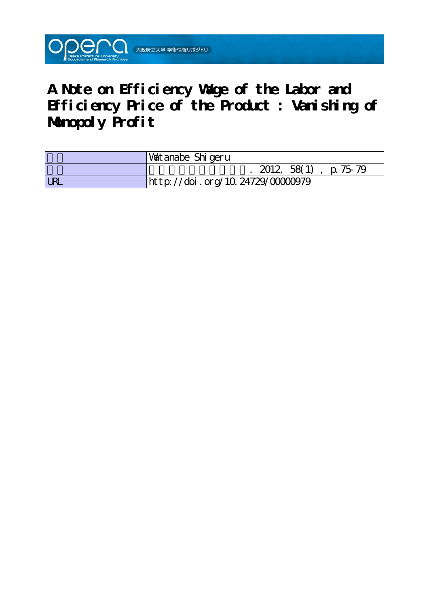

**A Note on Efficiency Wage of the Labor and Efficiency Price of the Product : Vanishing of Monopoly Profit**

|            | Watanabe Shigeru                 |
|------------|----------------------------------|
|            | $2012, 58(1)$ , p. 75-79         |
| <b>URL</b> | http://doi.org/10.24729/00000979 |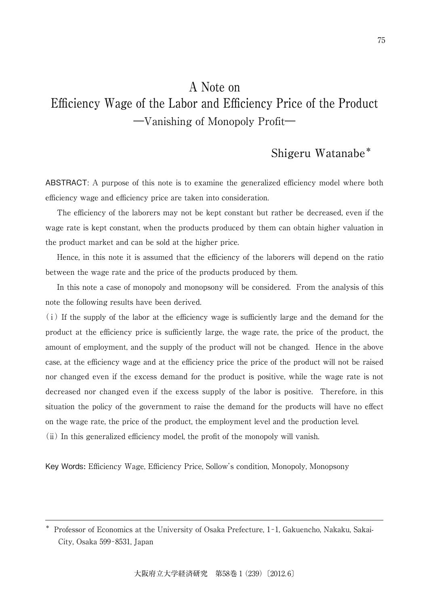# A Note on Efficiency Wage of the Labor and Efficiency Price of the Product ―Vanishing of Monopoly Profit―

## Shigeru Watanabe\*

ABSTRACT: A purpose of this note is to examine the generalized efficiency model where both efficiency wage and efficiency price are taken into consideration.

The efficiency of the laborers may not be kept constant but rather be decreased, even if the wage rate is kept constant, when the products produced by them can obtain higher valuation in the product market and can be sold at the higher price.

Hence, in this note it is assumed that the efficiency of the laborers will depend on the ratio between the wage rate and the price of the products produced by them.

In this note a case of monopoly and monopsony will be considered. From the analysis of this note the following results have been derived.

(ⅰ) If the supply of the labor at the efficiency wage is sufficiently large and the demand for the product at the efficiency price is sufficiently large, the wage rate, the price of the product, the amount of employment, and the supply of the product will not be changed. Hence in the above case, at the efficiency wage and at the efficiency price the price of the product will not be raised nor changed even if the excess demand for the product is positive, while the wage rate is not decreased nor changed even if the excess supply of the labor is positive. Therefore, in this situation the policy of the government to raise the demand for the products will have no effect on the wage rate, the price of the product, the employment level and the production level. (ⅱ) In this generalized efficiency model, the profit of the monopoly will vanish.

Key Words**:** Efficiency Wage, Efficiency Price, Sollow's condition, Monopoly, Monopsony

<sup>\*</sup> Professor of Economics at the University of Osaka Prefecture, 1-1, Gakuencho, Nakaku, Sakai-City, Osaka 599-8531, Japan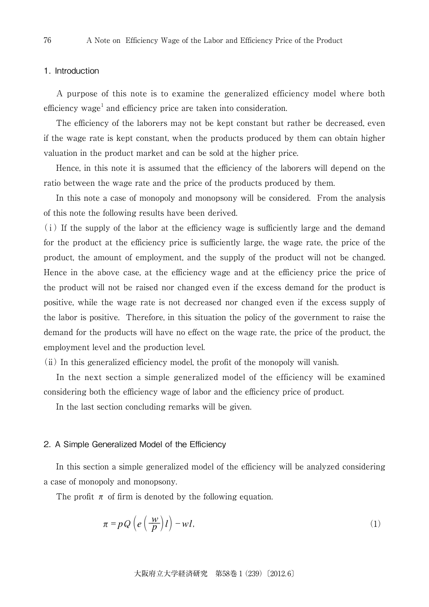### 1. Introduction

A purpose of this note is to examine the generalized efficiency model where both efficiency wage<sup>1</sup> and efficiency price are taken into consideration.

The efficiency of the laborers may not be kept constant but rather be decreased, even if the wage rate is kept constant, when the products produced by them can obtain higher valuation in the product market and can be sold at the higher price.

Hence, in this note it is assumed that the efficiency of the laborers will depend on the ratio between the wage rate and the price of the products produced by them.

In this note a case of monopoly and monopsony will be considered. From the analysis of this note the following results have been derived.

(ⅰ) If the supply of the labor at the efficiency wage is sufficiently large and the demand for the product at the efficiency price is sufficiently large, the wage rate, the price of the product, the amount of employment, and the supply of the product will not be changed. Hence in the above case, at the efficiency wage and at the efficiency price the price of the product will not be raised nor changed even if the excess demand for the product is positive, while the wage rate is not decreased nor changed even if the excess supply of the labor is positive. Therefore, in this situation the policy of the government to raise the demand for the products will have no effect on the wage rate, the price of the product, the employment level and the production level.

(ⅱ) In this generalized efficiency model, the profit of the monopoly will vanish.

In the next section a simple generalized model of the efficiency will be examined considering both the efficiency wage of labor and the efficiency price of product.

In the last section concluding remarks will be given.

#### 2. A Simple Generalized Model of the Efficiency

In this section a simple generalized model of the efficiency will be analyzed considering a case of monopoly and monopsony.

The profit  $\pi$  of firm is denoted by the following equation.

$$
\pi = pQ\left(e\left(\frac{w}{p}\right)l\right) - w l,\tag{1}
$$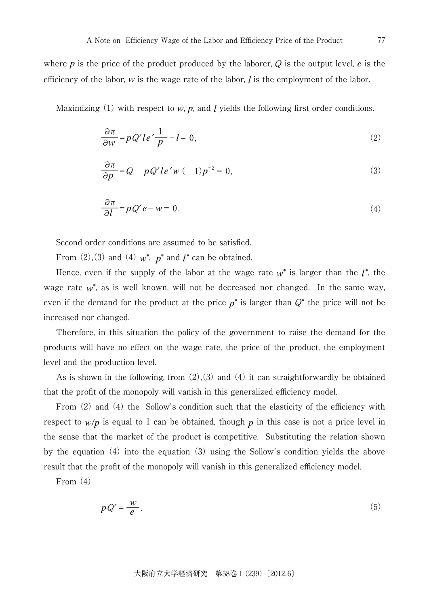where  $p$  is the price of the product produced by the laborer,  $Q$  is the output level,  $e$  is the efficiency of the labor,  $w$  is the wage rate of the labor,  $l$  is the employment of the labor.

Maximizing  $(1)$  with respect to  $w$ ,  $p$ , and  $l$  yields the following first order conditions.

$$
\frac{\partial \pi}{\partial w} = pQ'le' \frac{1}{p} - l = 0,\tag{2}
$$

$$
\frac{\partial \pi}{\partial p} = Q + pQ'le'w(-1)p^{-2} = 0,
$$
\n(3)

$$
\frac{\partial \pi}{\partial l} = p \, Q' e - w = 0. \tag{4}
$$

Second order conditions are assumed to be satisfied.

From  $(2)$ , $(3)$  and  $(4)$   $w^*$ ,  $p^*$  and  $l^*$  can be obtained.

Hence, even if the supply of the labor at the wage rate  $w^*$  is larger than the  $l^*$ , the wage rate  $w^*$ , as is well known, will not be decreased nor changed. In the same way, even if the demand for the product at the price  $p^*$  is larger than  $Q^*$  the price will not be increased nor changed.

Therefore, in this situation the policy of the government to raise the demand for the products will have no effect on the wage rate, the price of the product, the employment level and the production level.

As is shown in the following, from  $(2)(3)$  and  $(4)$  it can straightforwardly be obtained that the profit of the monopoly will vanish in this generalized efficiency model.

From (2) and (4) the Sollow's condition such that the elasticity of the efficiency with respect to  $w/p$  is equal to 1 can be obtained, though  $p$  in this case is not a price level in the sense that the market of the product is competitive. Substituting the relation shown by the equation (4) into the equation (3) using the Sollow's condition yields the above result that the profit of the monopoly will vanish in this generalized efficiency model.

From (4)

$$
pQ' = \frac{w}{e}.\tag{5}
$$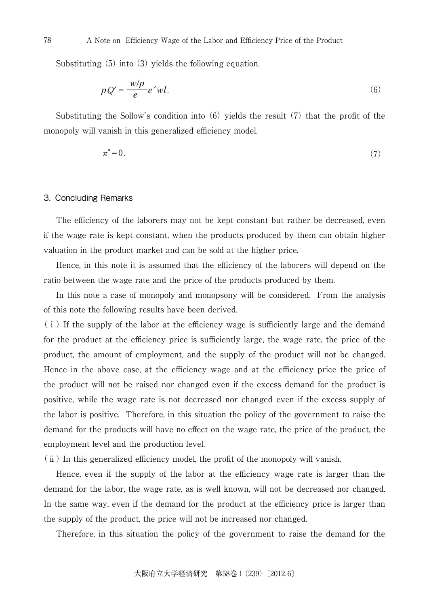Substituting (5) into (3) yields the following equation.

$$
pQ' = \frac{w/p}{e}e'wl.
$$
\n(6)

Substituting the Sollow's condition into (6) yields the result (7) that the profit of the monopoly will vanish in this generalized efficiency model.

$$
\pi^* = 0. \tag{7}
$$

#### 3. Concluding Remarks

The efficiency of the laborers may not be kept constant but rather be decreased, even if the wage rate is kept constant, when the products produced by them can obtain higher valuation in the product market and can be sold at the higher price.

Hence, in this note it is assumed that the efficiency of the laborers will depend on the ratio between the wage rate and the price of the products produced by them.

In this note a case of monopoly and monopsony will be considered. From the analysis of this note the following results have been derived.

 $(i)$  If the supply of the labor at the efficiency wage is sufficiently large and the demand for the product at the efficiency price is sufficiently large, the wage rate, the price of the product, the amount of employment, and the supply of the product will not be changed. Hence in the above case, at the efficiency wage and at the efficiency price the price of the product will not be raised nor changed even if the excess demand for the product is positive, while the wage rate is not decreased nor changed even if the excess supply of the labor is positive. Therefore, in this situation the policy of the government to raise the demand for the products will have no effect on the wage rate, the price of the product, the employment level and the production level.

(ⅱ) In this generalized efficiency model, the profit of the monopoly will vanish.

Hence, even if the supply of the labor at the efficiency wage rate is larger than the demand for the labor, the wage rate, as is well known, will not be decreased nor changed. In the same way, even if the demand for the product at the efficiency price is larger than the supply of the product, the price will not be increased nor changed.

Therefore, in this situation the policy of the government to raise the demand for the